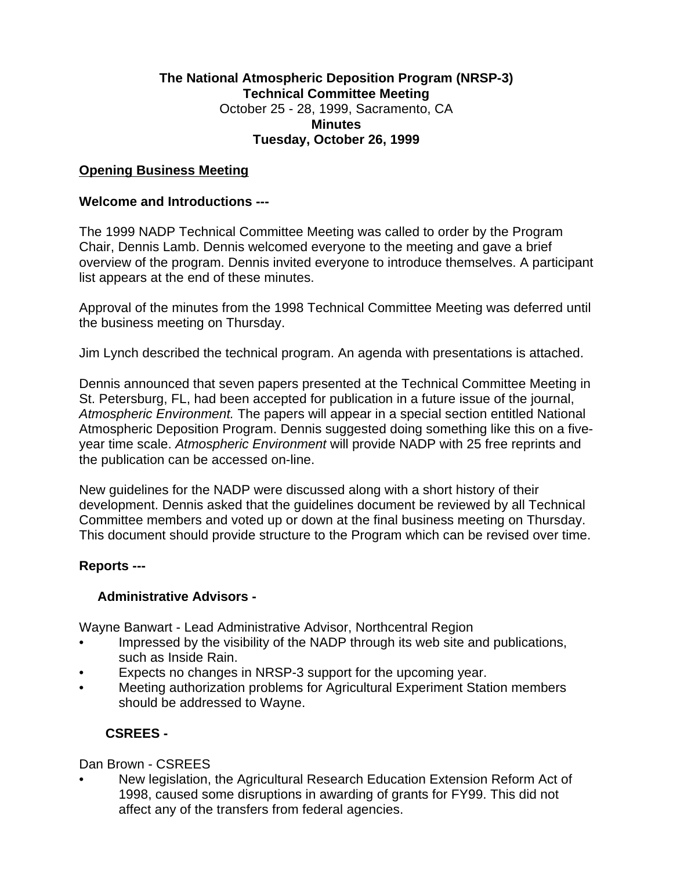# **The National Atmospheric Deposition Program (NRSP-3) Technical Committee Meeting** October 25 - 28, 1999, Sacramento, CA **Minutes Tuesday, October 26, 1999**

### **Opening Business Meeting**

### **Welcome and Introductions ---**

The 1999 NADP Technical Committee Meeting was called to order by the Program Chair, Dennis Lamb. Dennis welcomed everyone to the meeting and gave a brief overview of the program. Dennis invited everyone to introduce themselves. A participant list appears at the end of these minutes.

Approval of the minutes from the 1998 Technical Committee Meeting was deferred until the business meeting on Thursday.

Jim Lynch described the technical program. An agenda with presentations is attached.

Dennis announced that seven papers presented at the Technical Committee Meeting in St. Petersburg, FL, had been accepted for publication in a future issue of the journal, *Atmospheric Environment.* The papers will appear in a special section entitled National Atmospheric Deposition Program. Dennis suggested doing something like this on a fiveyear time scale. *Atmospheric Environment* will provide NADP with 25 free reprints and the publication can be accessed on-line.

New guidelines for the NADP were discussed along with a short history of their development. Dennis asked that the guidelines document be reviewed by all Technical Committee members and voted up or down at the final business meeting on Thursday. This document should provide structure to the Program which can be revised over time.

### **Reports ---**

### **Administrative Advisors -**

Wayne Banwart - Lead Administrative Advisor, Northcentral Region

- Impressed by the visibility of the NADP through its web site and publications, such as Inside Rain.
- Expects no changes in NRSP-3 support for the upcoming year.
- Meeting authorization problems for Agricultural Experiment Station members should be addressed to Wayne.

# **CSREES -**

### Dan Brown - CSREES

• New legislation, the Agricultural Research Education Extension Reform Act of 1998, caused some disruptions in awarding of grants for FY99. This did not affect any of the transfers from federal agencies.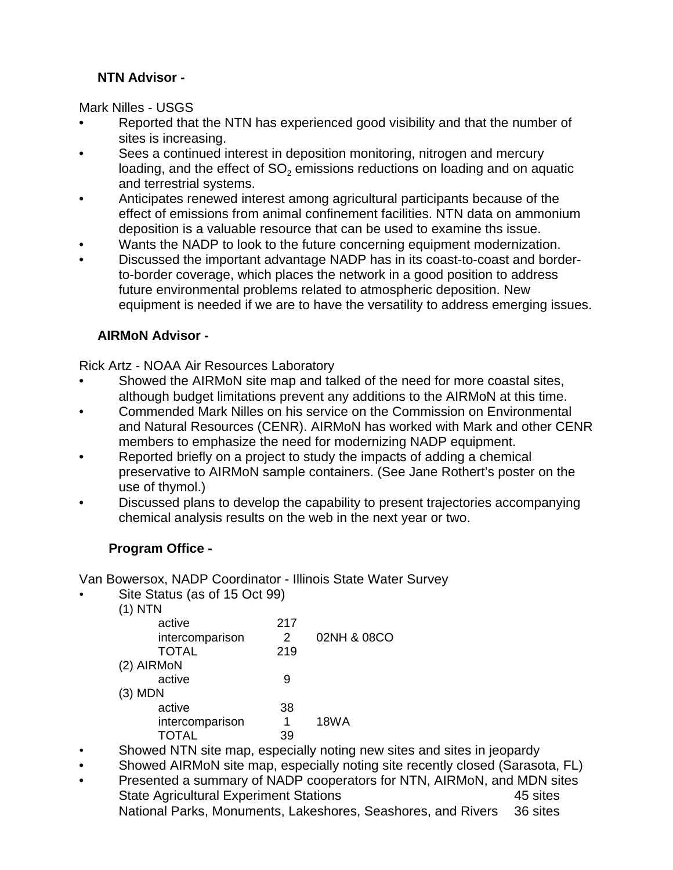# **NTN Advisor -**

Mark Nilles - USGS

- Reported that the NTN has experienced good visibility and that the number of sites is increasing.
- Sees a continued interest in deposition monitoring, nitrogen and mercury loading, and the effect of SO $_{\text{2}}$  emissions reductions on loading and on aquatic and terrestrial systems.
- Anticipates renewed interest among agricultural participants because of the effect of emissions from animal confinement facilities. NTN data on ammonium deposition is a valuable resource that can be used to examine ths issue.
- Wants the NADP to look to the future concerning equipment modernization.
- Discussed the important advantage NADP has in its coast-to-coast and borderto-border coverage, which places the network in a good position to address future environmental problems related to atmospheric deposition. New equipment is needed if we are to have the versatility to address emerging issues.

# **AIRMoN Advisor -**

Rick Artz - NOAA Air Resources Laboratory

- Showed the AIRMoN site map and talked of the need for more coastal sites, although budget limitations prevent any additions to the AIRMoN at this time.
- Commended Mark Nilles on his service on the Commission on Environmental and Natural Resources (CENR). AIRMoN has worked with Mark and other CENR members to emphasize the need for modernizing NADP equipment.
- Reported briefly on a project to study the impacts of adding a chemical preservative to AIRMoN sample containers. (See Jane Rothert's poster on the use of thymol.)
- Discussed plans to develop the capability to present trajectories accompanying chemical analysis results on the web in the next year or two.

# **Program Office -**

Van Bowersox, NADP Coordinator - Illinois State Water Survey

Site Status (as of 15 Oct 99)

| $(1)$ NTN       |     |             |
|-----------------|-----|-------------|
| active          | 217 |             |
| intercomparison | 2   | 02NH & 08CO |
| <b>TOTAL</b>    | 219 |             |
| (2) AIRMON      |     |             |
| active          | 9   |             |
| $(3)$ MDN       |     |             |
| active          | 38  |             |
| intercomparison | 1   | <b>18WA</b> |
| <b>TOTAL</b>    | 39  |             |
|                 |     |             |

• Showed NTN site map, especially noting new sites and sites in jeopardy

- Showed AIRMoN site map, especially noting site recently closed (Sarasota, FL)
- Presented a summary of NADP cooperators for NTN, AIRMoN, and MDN sites State Agricultural Experiment Stations **45** sites National Parks, Monuments, Lakeshores, Seashores, and Rivers 36 sites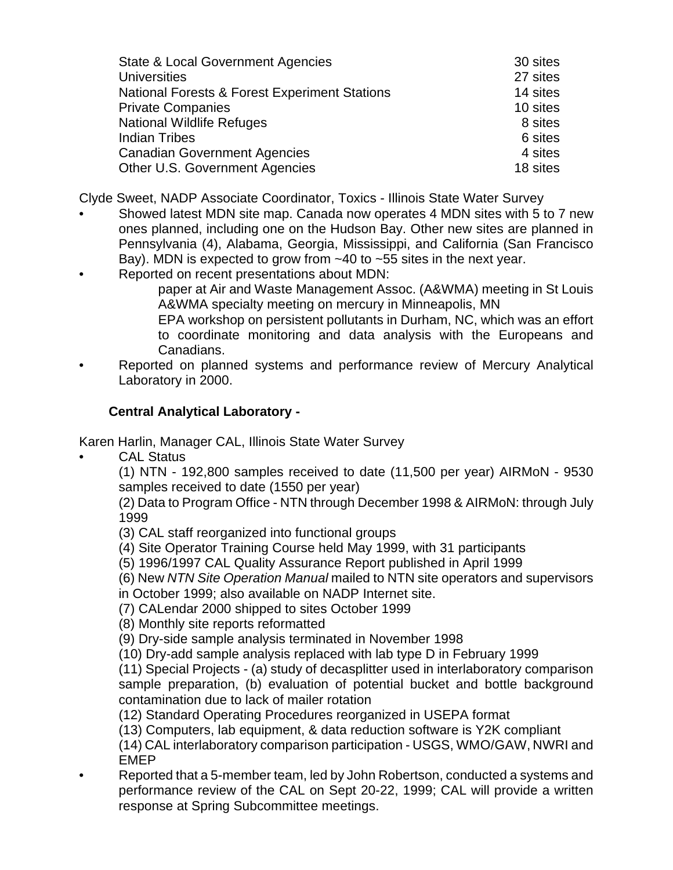| State & Local Government Agencies                        | 30 sites |
|----------------------------------------------------------|----------|
| <b>Universities</b>                                      | 27 sites |
| <b>National Forests &amp; Forest Experiment Stations</b> | 14 sites |
| <b>Private Companies</b>                                 | 10 sites |
| <b>National Wildlife Refuges</b>                         | 8 sites  |
| <b>Indian Tribes</b>                                     | 6 sites  |
| <b>Canadian Government Agencies</b>                      | 4 sites  |
| Other U.S. Government Agencies                           | 18 sites |

Clyde Sweet, NADP Associate Coordinator, Toxics - Illinois State Water Survey

- Showed latest MDN site map. Canada now operates 4 MDN sites with 5 to 7 new ones planned, including one on the Hudson Bay. Other new sites are planned in Pennsylvania (4), Alabama, Georgia, Mississippi, and California (San Francisco Bay). MDN is expected to grow from ~40 to ~55 sites in the next year.
- Reported on recent presentations about MDN:

paper at Air and Waste Management Assoc. (A&WMA) meeting in St Louis A&WMA specialty meeting on mercury in Minneapolis, MN

EPA workshop on persistent pollutants in Durham, NC, which was an effort to coordinate monitoring and data analysis with the Europeans and Canadians.

• Reported on planned systems and performance review of Mercury Analytical Laboratory in 2000.

# **Central Analytical Laboratory -**

Karen Harlin, Manager CAL, Illinois State Water Survey

**CAL Status** 

(1) NTN - 192,800 samples received to date (11,500 per year) AIRMoN - 9530 samples received to date (1550 per year)

(2) Data to Program Office - NTN through December 1998 & AIRMoN: through July 1999

(3) CAL staff reorganized into functional groups

(4) Site Operator Training Course held May 1999, with 31 participants

(5) 1996/1997 CAL Quality Assurance Report published in April 1999

(6) New *NTN Site Operation Manual* mailed to NTN site operators and supervisors

in October 1999; also available on NADP Internet site.

(7) CALendar 2000 shipped to sites October 1999

(8) Monthly site reports reformatted

(9) Dry-side sample analysis terminated in November 1998

(10) Dry-add sample analysis replaced with lab type D in February 1999

(11) Special Projects - (a) study of decasplitter used in interlaboratory comparison sample preparation, (b) evaluation of potential bucket and bottle background contamination due to lack of mailer rotation

(12) Standard Operating Procedures reorganized in USEPA format

(13) Computers, lab equipment, & data reduction software is Y2K compliant

(14) CAL interlaboratory comparison participation - USGS, WMO/GAW, NWRI and EMEP

• Reported that a 5-member team, led by John Robertson, conducted a systems and performance review of the CAL on Sept 20-22, 1999; CAL will provide a written response at Spring Subcommittee meetings.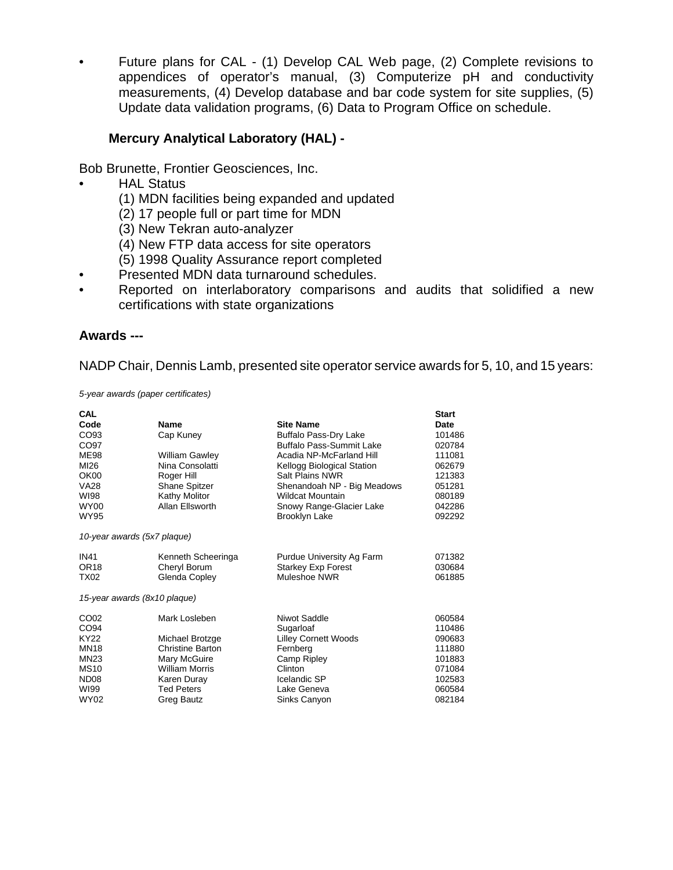• Future plans for CAL - (1) Develop CAL Web page, (2) Complete revisions to appendices of operator's manual, (3) Computerize pH and conductivity measurements, (4) Develop database and bar code system for site supplies, (5) Update data validation programs, (6) Data to Program Office on schedule.

## **Mercury Analytical Laboratory (HAL) -**

Bob Brunette, Frontier Geosciences, Inc.

- **HAL Status** 
	- (1) MDN facilities being expanded and updated
	- (2) 17 people full or part time for MDN
	- (3) New Tekran auto-analyzer
	- (4) New FTP data access for site operators
	- (5) 1998 Quality Assurance report completed
- Presented MDN data turnaround schedules.
- Reported on interlaboratory comparisons and audits that solidified a new certifications with state organizations

#### **Awards ---**

NADP Chair, Dennis Lamb, presented site operator service awards for 5, 10, and 15 years:

*5-year awards (paper certificates)*

| CAL              |                              |                                 | <b>Start</b> |
|------------------|------------------------------|---------------------------------|--------------|
| Code             | <b>Name</b>                  | <b>Site Name</b>                | Date         |
| CO <sub>93</sub> | Cap Kuney                    | <b>Buffalo Pass-Dry Lake</b>    | 101486       |
| CO97             |                              | <b>Buffalo Pass-Summit Lake</b> | 020784       |
| <b>ME98</b>      | William Gawley               | Acadia NP-McFarland Hill        | 111081       |
| MI26             | Nina Consolatti              | Kellogg Biological Station      | 062679       |
| OK00             | Roger Hill                   | <b>Salt Plains NWR</b>          | 121383       |
| <b>VA28</b>      | <b>Shane Spitzer</b>         | Shenandoah NP - Big Meadows     | 051281       |
| WI98             | Kathy Molitor                | <b>Wildcat Mountain</b>         | 080189       |
| <b>WY00</b>      | Allan Ellsworth              | Snowy Range-Glacier Lake        | 042286       |
| <b>WY95</b>      |                              | <b>Brooklyn Lake</b>            | 092292       |
|                  | 10-year awards (5x7 plaque)  |                                 |              |
| <b>IN41</b>      | Kenneth Scheeringa           | Purdue University Ag Farm       | 071382       |
| OR <sub>18</sub> | Cheryl Borum                 | <b>Starkey Exp Forest</b>       | 030684       |
| <b>TX02</b>      | Glenda Copley                | Muleshoe NWR                    | 061885       |
|                  | 15-year awards (8x10 plaque) |                                 |              |
| CO <sub>02</sub> | Mark Losleben                | Niwot Saddle                    | 060584       |
| CO <sub>94</sub> |                              | Sugarloaf                       | 110486       |
| KY22             | Michael Brotzge              | <b>Lilley Cornett Woods</b>     | 090683       |
| <b>MN18</b>      | Christine Barton             | Fernberg                        | 111880       |
| <b>MN23</b>      | Mary McGuire                 | Camp Ripley                     | 101883       |
| <b>MS10</b>      | <b>William Morris</b>        | Clinton                         | 071084       |
| ND <sub>08</sub> | Karen Duray                  | Icelandic SP                    | 102583       |
| WI99             | <b>Ted Peters</b>            | Lake Geneva                     | 060584       |
| <b>WY02</b>      | Greg Bautz                   | Sinks Canyon                    | 082184       |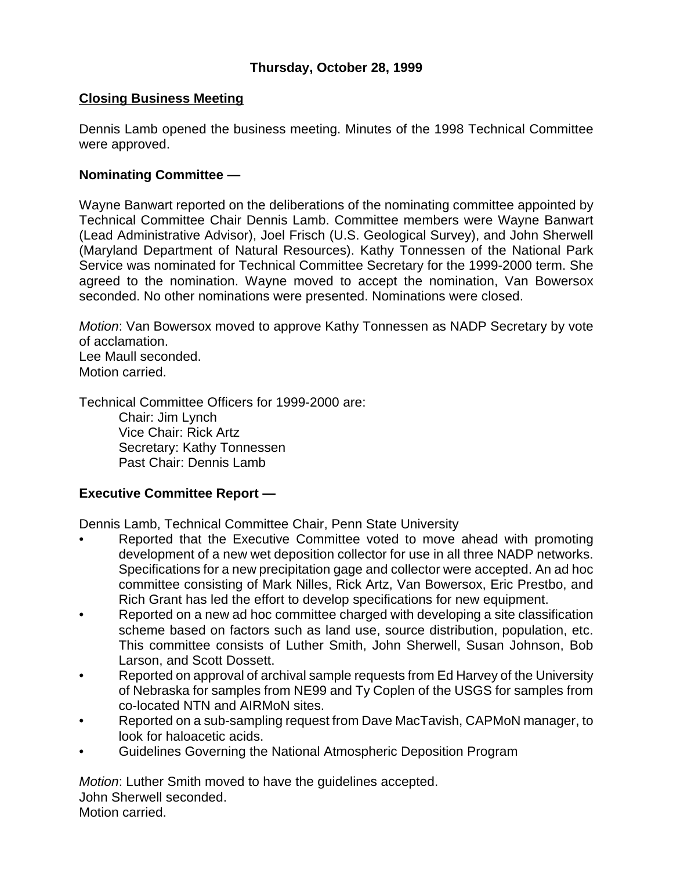# **Closing Business Meeting**

Dennis Lamb opened the business meeting. Minutes of the 1998 Technical Committee were approved.

### **Nominating Committee —**

Wayne Banwart reported on the deliberations of the nominating committee appointed by Technical Committee Chair Dennis Lamb. Committee members were Wayne Banwart (Lead Administrative Advisor), Joel Frisch (U.S. Geological Survey), and John Sherwell (Maryland Department of Natural Resources). Kathy Tonnessen of the National Park Service was nominated for Technical Committee Secretary for the 1999-2000 term. She agreed to the nomination. Wayne moved to accept the nomination, Van Bowersox seconded. No other nominations were presented. Nominations were closed.

*Motion*: Van Bowersox moved to approve Kathy Tonnessen as NADP Secretary by vote of acclamation. Lee Maull seconded.

Motion carried.

Technical Committee Officers for 1999-2000 are: Chair: Jim Lynch Vice Chair: Rick Artz Secretary: Kathy Tonnessen Past Chair: Dennis Lamb

# **Executive Committee Report —**

Dennis Lamb, Technical Committee Chair, Penn State University

- Reported that the Executive Committee voted to move ahead with promoting development of a new wet deposition collector for use in all three NADP networks. Specifications for a new precipitation gage and collector were accepted. An ad hoc committee consisting of Mark Nilles, Rick Artz, Van Bowersox, Eric Prestbo, and Rich Grant has led the effort to develop specifications for new equipment.
- Reported on a new ad hoc committee charged with developing a site classification scheme based on factors such as land use, source distribution, population, etc. This committee consists of Luther Smith, John Sherwell, Susan Johnson, Bob Larson, and Scott Dossett.
- Reported on approval of archival sample requests from Ed Harvey of the University of Nebraska for samples from NE99 and Ty Coplen of the USGS for samples from co-located NTN and AIRMoN sites.
- Reported on a sub-sampling request from Dave MacTavish, CAPMoN manager, to look for haloacetic acids.
- Guidelines Governing the National Atmospheric Deposition Program

*Motion*: Luther Smith moved to have the guidelines accepted. John Sherwell seconded. Motion carried.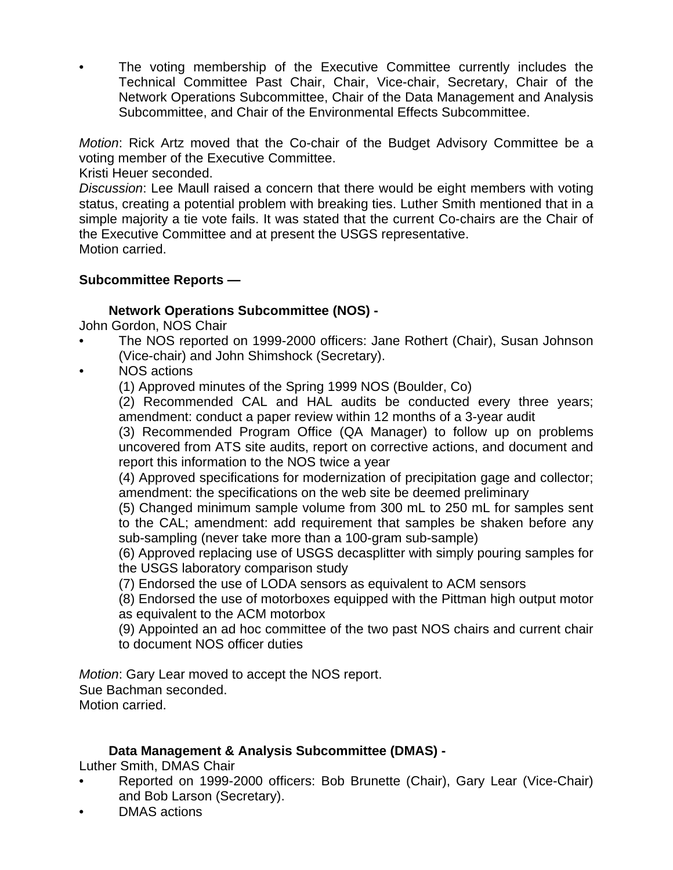The voting membership of the Executive Committee currently includes the Technical Committee Past Chair, Chair, Vice-chair, Secretary, Chair of the Network Operations Subcommittee, Chair of the Data Management and Analysis Subcommittee, and Chair of the Environmental Effects Subcommittee.

*Motion*: Rick Artz moved that the Co-chair of the Budget Advisory Committee be a voting member of the Executive Committee.

Kristi Heuer seconded.

*Discussion*: Lee Maull raised a concern that there would be eight members with voting status, creating a potential problem with breaking ties. Luther Smith mentioned that in a simple majority a tie vote fails. It was stated that the current Co-chairs are the Chair of the Executive Committee and at present the USGS representative. Motion carried.

# **Subcommittee Reports —**

# **Network Operations Subcommittee (NOS) -**

John Gordon, NOS Chair

- The NOS reported on 1999-2000 officers: Jane Rothert (Chair), Susan Johnson (Vice-chair) and John Shimshock (Secretary).
- *•* NOS actions
	- (1) Approved minutes of the Spring 1999 NOS (Boulder, Co)

(2) Recommended CAL and HAL audits be conducted every three years; amendment: conduct a paper review within 12 months of a 3-year audit

(3) Recommended Program Office (QA Manager) to follow up on problems uncovered from ATS site audits, report on corrective actions, and document and report this information to the NOS twice a year

(4) Approved specifications for modernization of precipitation gage and collector; amendment: the specifications on the web site be deemed preliminary

(5) Changed minimum sample volume from 300 mL to 250 mL for samples sent to the CAL; amendment: add requirement that samples be shaken before any sub-sampling (never take more than a 100-gram sub-sample)

(6) Approved replacing use of USGS decasplitter with simply pouring samples for the USGS laboratory comparison study

(7) Endorsed the use of LODA sensors as equivalent to ACM sensors

(8) Endorsed the use of motorboxes equipped with the Pittman high output motor as equivalent to the ACM motorbox

(9) Appointed an ad hoc committee of the two past NOS chairs and current chair to document NOS officer duties

*Motion*: Gary Lear moved to accept the NOS report.

Sue Bachman seconded.

Motion carried.

# **Data Management & Analysis Subcommittee (DMAS) -**

Luther Smith, DMAS Chair

- Reported on 1999-2000 officers: Bob Brunette (Chair), Gary Lear (Vice-Chair) and Bob Larson (Secretary).
- DMAS actions